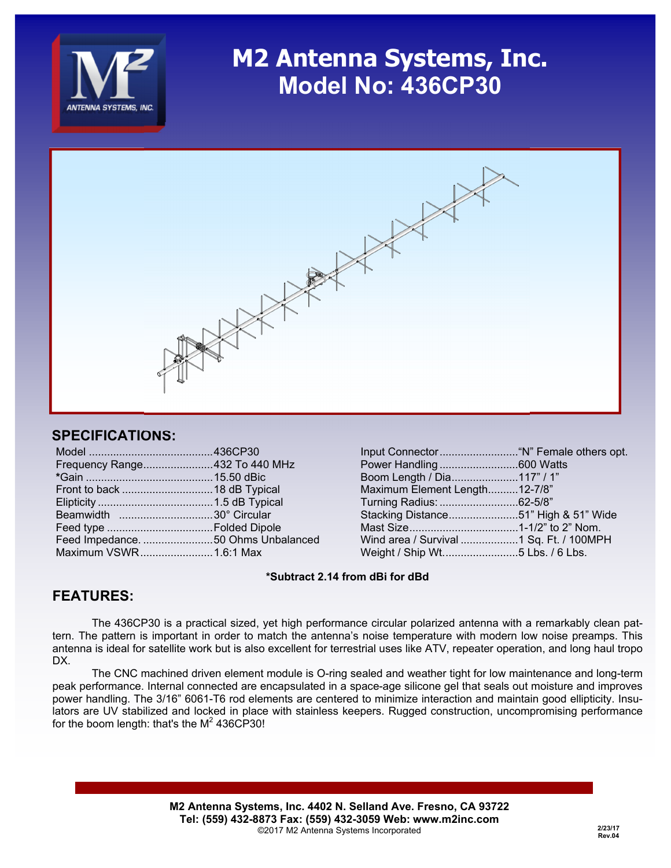

### **M2 Antenna Systems, Inc. Model No: 436CP30**



#### **SPECIFICATIONS:**

| Frequency Range432 To 440 MHz |  |
|-------------------------------|--|
|                               |  |
|                               |  |
|                               |  |
| Beamwidth 30° Circular        |  |
|                               |  |
|                               |  |
| Maximum VSWR1.6:1 Max         |  |
|                               |  |

| Power Handling600 Watts                 |  |
|-----------------------------------------|--|
| Boom Length / Dia117" / 1"              |  |
| Maximum Element Length12-7/8"           |  |
| Turning Radius: 62-5/8"                 |  |
| Stacking Distance51" High & 51" Wide    |  |
|                                         |  |
| Wind area / Survival 1 Sq. Ft. / 100MPH |  |
| Weight / Ship Wt5 Lbs. / 6 Lbs.         |  |
|                                         |  |

#### **\*Subtract 2.14 from dBi for dBd**

### **FEATURES:**

 The 436CP30 is a practical sized, yet high performance circular polarized antenna with a remarkably clean pattern. The pattern is important in order to match the antenna's noise temperature with modern low noise preamps. This antenna is ideal for satellite work but is also excellent for terrestrial uses like ATV, repeater operation, and long haul tropo DX.

 The CNC machined driven element module is O-ring sealed and weather tight for low maintenance and long-term peak performance. Internal connected are encapsulated in a space-age silicone gel that seals out moisture and improves power handling. The 3/16" 6061-T6 rod elements are centered to minimize interaction and maintain good ellipticity. Insulators are UV stabilized and locked in place with stainless keepers. Rugged construction, uncompromising performance for the boom length: that's the  $M^2$  436CP30!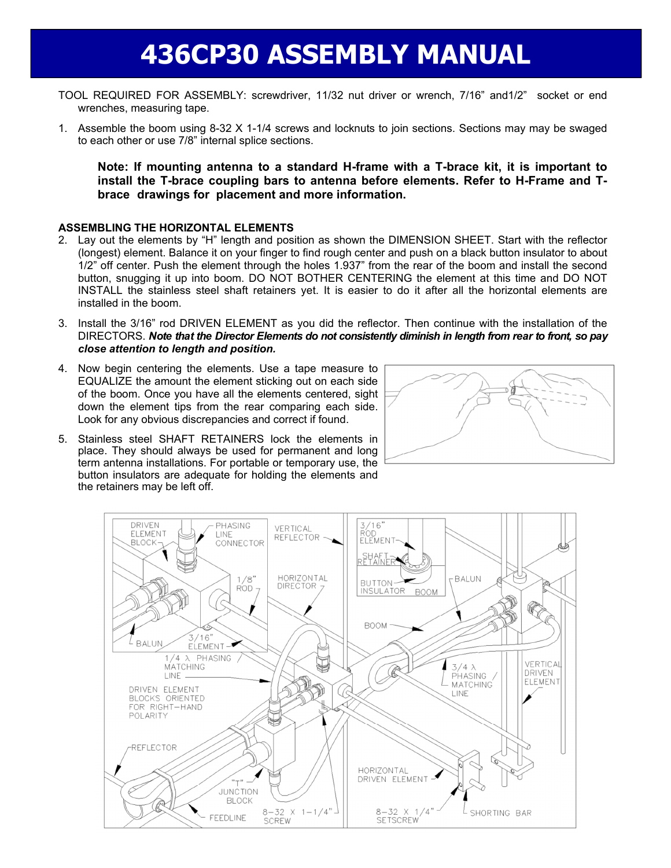# **436CP30 ASSEMBLY MANUAL**

- TOOL REQUIRED FOR ASSEMBLY: screwdriver, 11/32 nut driver or wrench, 7/16" and1/2" socket or end wrenches, measuring tape.
- 1. Assemble the boom using 8-32 X 1-1/4 screws and locknuts to join sections. Sections may may be swaged to each other or use 7/8" internal splice sections.

**Note: If mounting antenna to a standard H-frame with a T-brace kit, it is important to install the T-brace coupling bars to antenna before elements. Refer to H-Frame and T brace drawings for placement and more information.** 

#### **ASSEMBLING THE HORIZONTAL ELEMENTS**

- 2. Lay out the elements by "H" length and position as shown the DIMENSION SHEET. Start with the reflector (longest) element. Balance it on your finger to find rough center and push on a black button insulator to about 1/2" off center. Push the element through the holes 1.937" from the rear of the boom and install the second button, snugging it up into boom. DO NOT BOTHER CENTERING the element at this time and DO NOT INSTALL the stainless steel shaft retainers yet. It is easier to do it after all the horizontal elements are installed in the boom.
- 3. Install the 3/16" rod DRIVEN ELEMENT as you did the reflector. Then continue with the installation of the DIRECTORS. *Note that the Director Elements do not consistently diminish in length from rear to front, so pay close attention to length and position.*
- 4. Now begin centering the elements. Use a tape measure to EQUALIZE the amount the element sticking out on each side of the boom. Once you have all the elements centered, sight down the element tips from the rear comparing each side. Look for any obvious discrepancies and correct if found.
- 5. Stainless steel SHAFT RETAINERS lock the elements in place. They should always be used for permanent and long term antenna installations. For portable or temporary use, the button insulators are adequate for holding the elements and the retainers may be left off.



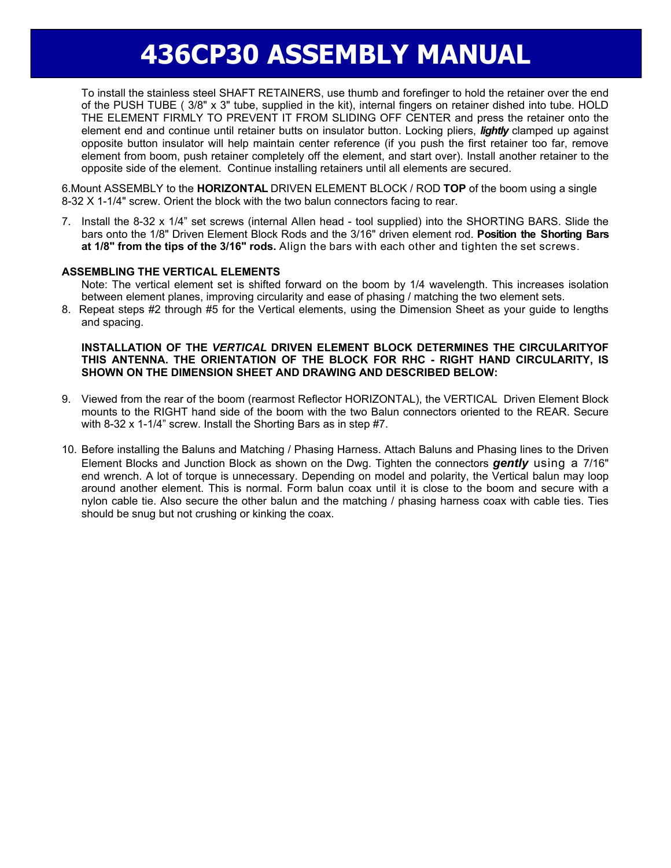# **436CP30 ASSEMBLY MANUAL**

 To install the stainless steel SHAFT RETAINERS, use thumb and forefinger to hold the retainer over the end of the PUSH TUBE ( 3/8" x 3" tube, supplied in the kit), internal fingers on retainer dished into tube. HOLD THE ELEMENT FIRMLY TO PREVENT IT FROM SLIDING OFF CENTER and press the retainer onto the element end and continue until retainer butts on insulator button. Locking pliers, *lightly* clamped up against opposite button insulator will help maintain center reference (if you push the first retainer too far, remove element from boom, push retainer completely off the element, and start over). Install another retainer to the opposite side of the element. Continue installing retainers until all elements are secured.

6.Mount ASSEMBLY to the **HORIZONTAL** DRIVEN ELEMENT BLOCK / ROD **TOP** of the boom using a single 8-32 X 1-1/4" screw. Orient the block with the two balun connectors facing to rear.

7. Install the 8-32 x 1/4" set screws (internal Allen head - tool supplied) into the SHORTING BARS. Slide the bars onto the 1/8" Driven Element Block Rods and the 3/16" driven element rod. **Position the Shorting Bars at 1/8" from the tips of the 3/16" rods.** Align the bars with each other and tighten the set screws.

#### **ASSEMBLING THE VERTICAL ELEMENTS**

Note: The vertical element set is shifted forward on the boom by 1/4 wavelength. This increases isolation between element planes, improving circularity and ease of phasing / matching the two element sets.

8. Repeat steps #2 through #5 for the Vertical elements, using the Dimension Sheet as your guide to lengths and spacing.

#### **INSTALLATION OF THE** *VERTICAL* **DRIVEN ELEMENT BLOCK DETERMINES THE CIRCULARITYOF THIS ANTENNA. THE ORIENTATION OF THE BLOCK FOR RHC - RIGHT HAND CIRCULARITY, IS SHOWN ON THE DIMENSION SHEET AND DRAWING AND DESCRIBED BELOW:**

- 9. Viewed from the rear of the boom (rearmost Reflector HORIZONTAL), the VERTICAL Driven Element Block mounts to the RIGHT hand side of the boom with the two Balun connectors oriented to the REAR. Secure with 8-32 x 1-1/4" screw. Install the Shorting Bars as in step #7.
- 10. Before installing the Baluns and Matching / Phasing Harness. Attach Baluns and Phasing lines to the Driven Element Blocks and Junction Block as shown on the Dwg. Tighten the connectors *gently* using a 7/16" end wrench. A lot of torque is unnecessary. Depending on model and polarity, the Vertical balun may loop around another element. This is normal. Form balun coax until it is close to the boom and secure with a nylon cable tie. Also secure the other balun and the matching / phasing harness coax with cable ties. Ties should be snug but not crushing or kinking the coax.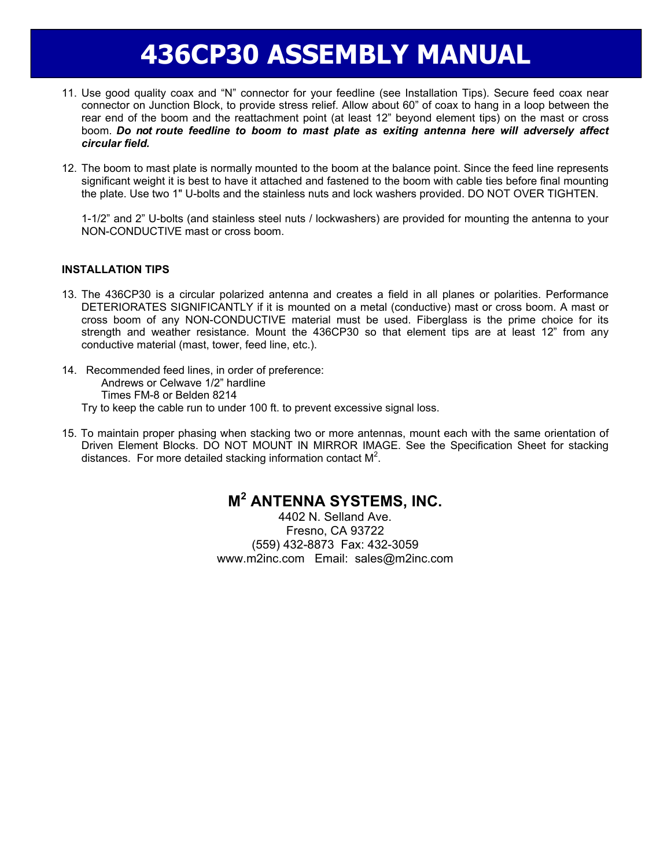# **436CP30 ASSEMBLY MANUAL**

- 11. Use good quality coax and "N" connector for your feedline (see Installation Tips). Secure feed coax near connector on Junction Block, to provide stress relief. Allow about 60" of coax to hang in a loop between the rear end of the boom and the reattachment point (at least 12" beyond element tips) on the mast or cross boom. *Do not route feedline to boom to mast plate as exiting antenna here will adversely affect circular field.*
- 12. The boom to mast plate is normally mounted to the boom at the balance point. Since the feed line represents significant weight it is best to have it attached and fastened to the boom with cable ties before final mounting the plate. Use two 1" U-bolts and the stainless nuts and lock washers provided. DO NOT OVER TIGHTEN.

 1-1/2" and 2" U-bolts (and stainless steel nuts / lockwashers) are provided for mounting the antenna to your NON-CONDUCTIVE mast or cross boom.

#### **INSTALLATION TIPS**

- 13. The 436CP30 is a circular polarized antenna and creates a field in all planes or polarities. Performance DETERIORATES SIGNIFICANTLY if it is mounted on a metal (conductive) mast or cross boom. A mast or cross boom of any NON-CONDUCTIVE material must be used. Fiberglass is the prime choice for its strength and weather resistance. Mount the 436CP30 so that element tips are at least 12" from any conductive material (mast, tower, feed line, etc.).
- 14. Recommended feed lines, in order of preference: Andrews or Celwave 1/2" hardline Times FM-8 or Belden 8214 Try to keep the cable run to under 100 ft. to prevent excessive signal loss.
- 15. To maintain proper phasing when stacking two or more antennas, mount each with the same orientation of Driven Element Blocks. DO NOT MOUNT IN MIRROR IMAGE. See the Specification Sheet for stacking distances. For more detailed stacking information contact  $M^2$ .

### **M2 ANTENNA SYSTEMS, INC.**

4402 N. Selland Ave. Fresno, CA 93722 (559) 432-8873 Fax: 432-3059 www.m2inc.com Email: sales@m2inc.com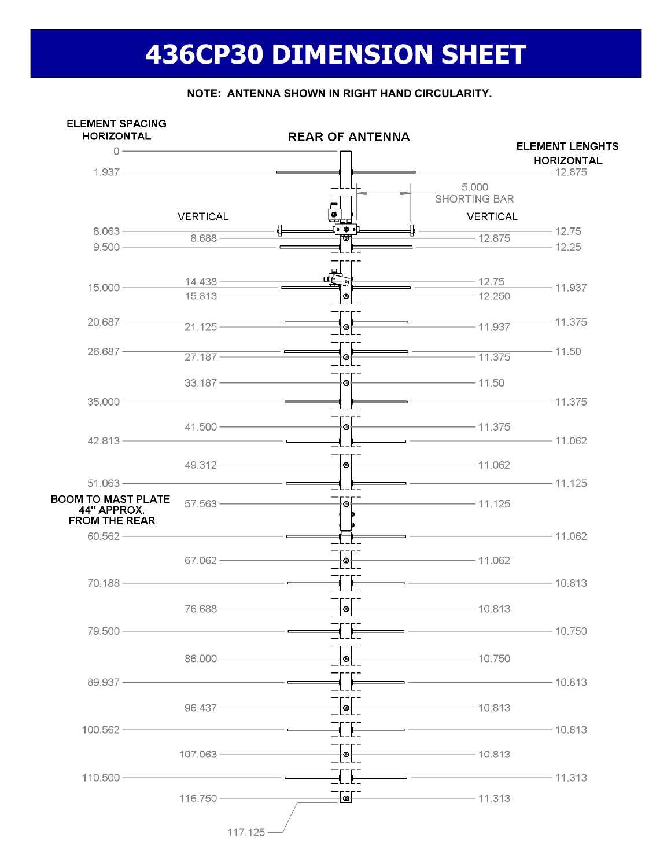# **436CP30 DIMENSION SHEET**



#### **NOTE: ANTENNA SHOWN IN RIGHT HAND CIRCULARITY.**